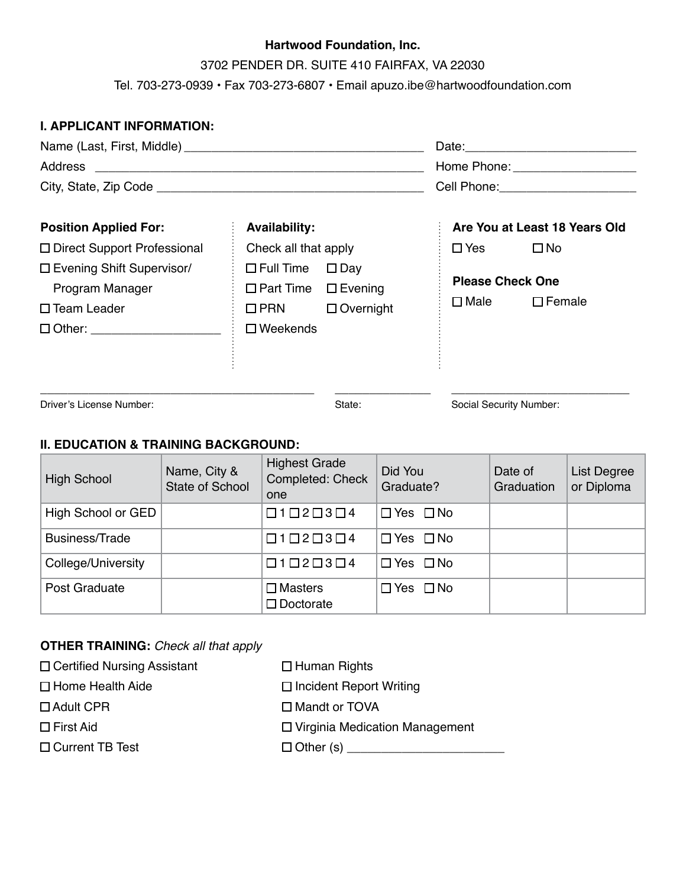3702 PENDER DR. SUITE 410 FAIRFAX, VA 22030

Tel. 703-273-0939 • Fax 703-273-6807 • Email apuzo.ibe@hartwoodfoundation.com

| <b>I. APPLICANT INFORMATION:</b>   |                                 |                  |  |                         |                               |  |
|------------------------------------|---------------------------------|------------------|--|-------------------------|-------------------------------|--|
|                                    |                                 |                  |  |                         |                               |  |
|                                    |                                 |                  |  |                         |                               |  |
|                                    |                                 |                  |  |                         |                               |  |
|                                    |                                 |                  |  |                         |                               |  |
| <b>Position Applied For:</b>       | <b>Availability:</b>            |                  |  |                         | Are You at Least 18 Years Old |  |
| $\Box$ Direct Support Professional | Check all that apply            |                  |  | $\square$ Yes           | $\square$ No                  |  |
| □ Evening Shift Supervisor/        | $\Box$ Full Time                | $\square$ Day    |  |                         |                               |  |
| Program Manager                    | $\Box$ Part Time $\Box$ Evening |                  |  | <b>Please Check One</b> |                               |  |
| $\square$ Team Leader              | $\Box$ PRN                      | $\Box$ Overnight |  | $\square$ Male          | $\square$ Female              |  |
| □ Other: _______________________   | $\Box$ Weekends                 |                  |  |                         |                               |  |
|                                    |                                 |                  |  |                         |                               |  |
|                                    |                                 |                  |  |                         |                               |  |
|                                    |                                 |                  |  |                         |                               |  |

Driver's License Number: Natural State: Social Security Number: State: Social Security Number:

### **II. EDUCATION & TRAINING BACKGROUND:**

| <b>High School</b> | Name, City &<br>State of School | <b>Highest Grade</b><br>Completed: Check<br>one | Did You<br>Graduate? | Date of<br>Graduation | <b>List Degree</b><br>or Diploma |
|--------------------|---------------------------------|-------------------------------------------------|----------------------|-----------------------|----------------------------------|
| High School or GED |                                 | $\Box 1 \Box 2 \Box 3 \Box 4$                   | $\Box$ Yes $\Box$ No |                       |                                  |
| Business/Trade     |                                 | $\Box 1 \Box 2 \Box 3 \Box 4$                   | $\Box$ Yes $\Box$ No |                       |                                  |
| College/University |                                 | $\Box 1 \Box 2 \Box 3 \Box 4$                   | $\Box$ Yes $\Box$ No |                       |                                  |
| Post Graduate      |                                 | $\square$ Masters<br>$\square$ Doctorate        | $\Box$ Yes $\Box$ No |                       |                                  |

## **OTHER TRAINING:** *Check all that apply*

| $\Box$ Human Rights                   |
|---------------------------------------|
| $\Box$ Incident Report Writing        |
| □ Mandt or TOVA                       |
| $\Box$ Virginia Medication Management |
|                                       |
|                                       |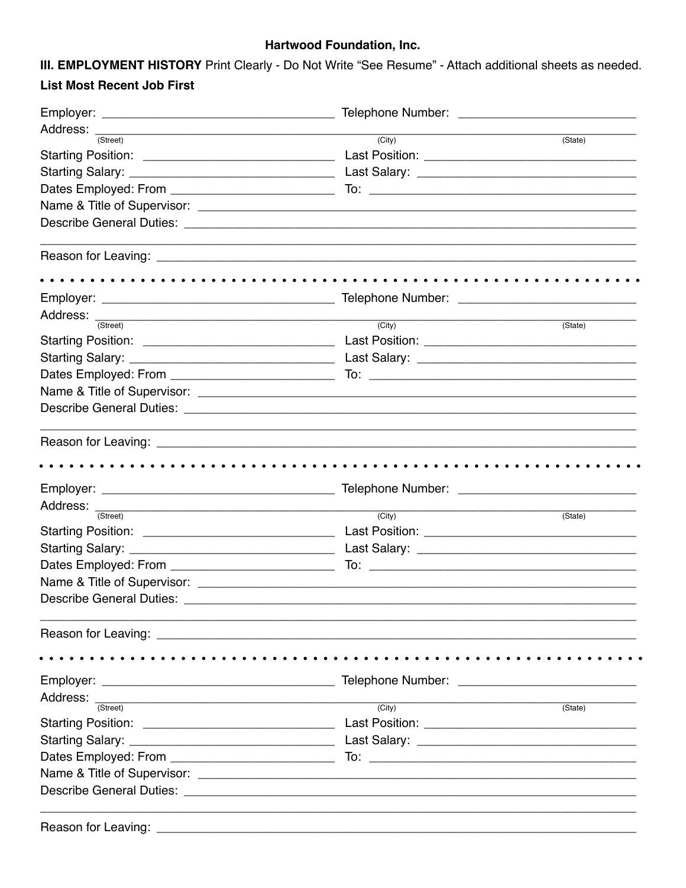III. EMPLOYMENT HISTORY Print Clearly - Do Not Write "See Resume" - Attach additional sheets as needed. **List Most Recent Job First** 

| Address: <sub>(Street)</sub>    | $\overline{(City)}$<br>(State) |
|---------------------------------|--------------------------------|
|                                 |                                |
|                                 |                                |
|                                 |                                |
|                                 |                                |
|                                 |                                |
|                                 |                                |
|                                 |                                |
|                                 |                                |
|                                 |                                |
|                                 |                                |
| Address: <sub>(Street)</sub>    |                                |
|                                 | $\overline{(City)}$<br>(State) |
|                                 |                                |
|                                 |                                |
|                                 |                                |
|                                 |                                |
|                                 |                                |
|                                 |                                |
|                                 |                                |
|                                 |                                |
|                                 |                                |
| Address: <sub>(Street)</sub>    | $\overline{(City)}$<br>(State) |
|                                 |                                |
|                                 |                                |
|                                 |                                |
|                                 |                                |
| <b>Describe General Duties:</b> |                                |
|                                 |                                |
|                                 |                                |
|                                 |                                |
|                                 |                                |
| Address: <sub>(Street)</sub>    | $\overline{(City)}$<br>(State) |
|                                 |                                |
|                                 |                                |
|                                 |                                |
|                                 |                                |
|                                 |                                |
|                                 |                                |
|                                 |                                |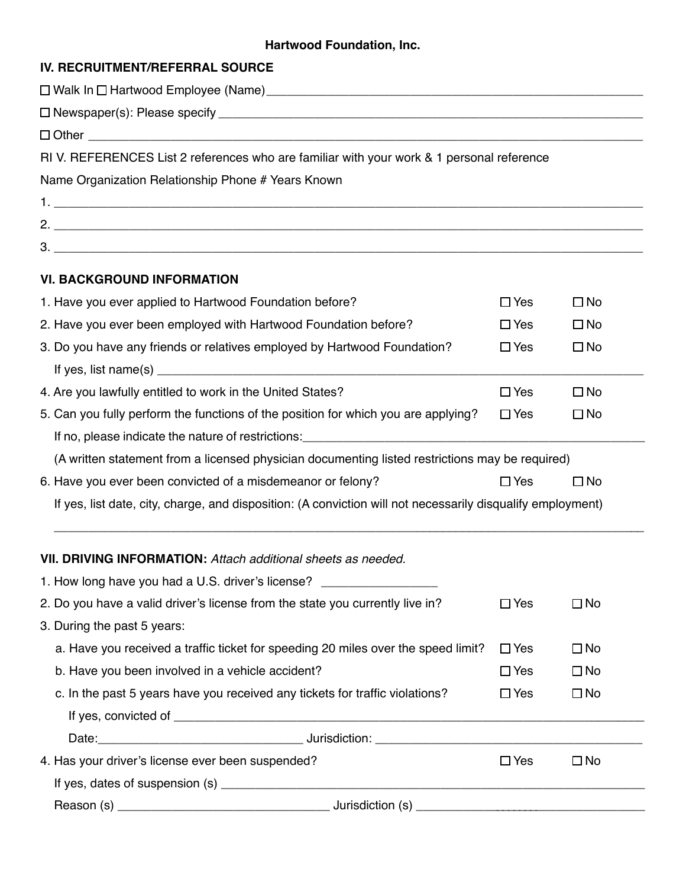# **IV. RECRUITMENT/REFERRAL SOURCE**

| RIV. REFERENCES List 2 references who are familiar with your work & 1 personal reference                    |               |              |  |  |  |
|-------------------------------------------------------------------------------------------------------------|---------------|--------------|--|--|--|
| Name Organization Relationship Phone # Years Known                                                          |               |              |  |  |  |
|                                                                                                             |               |              |  |  |  |
|                                                                                                             |               |              |  |  |  |
|                                                                                                             |               |              |  |  |  |
| <b>VI. BACKGROUND INFORMATION</b>                                                                           |               |              |  |  |  |
| 1. Have you ever applied to Hartwood Foundation before?                                                     | $\Box$ Yes    | $\Box$ No    |  |  |  |
| 2. Have you ever been employed with Hartwood Foundation before?                                             | $\Box$ Yes    | $\square$ No |  |  |  |
| 3. Do you have any friends or relatives employed by Hartwood Foundation?                                    | $\Box$ Yes    | $\Box$ No    |  |  |  |
|                                                                                                             |               |              |  |  |  |
| 4. Are you lawfully entitled to work in the United States?                                                  | $\square$ Yes | $\square$ No |  |  |  |
| 5. Can you fully perform the functions of the position for which you are applying?                          | $\Box$ Yes    | $\Box$ No    |  |  |  |
|                                                                                                             |               |              |  |  |  |
| (A written statement from a licensed physician documenting listed restrictions may be required)             |               |              |  |  |  |
| 6. Have you ever been convicted of a misdemeanor or felony?                                                 | $\Box$ Yes    | $\square$ No |  |  |  |
| If yes, list date, city, charge, and disposition: (A conviction will not necessarily disqualify employment) |               |              |  |  |  |
| VII. DRIVING INFORMATION: Attach additional sheets as needed.                                               |               |              |  |  |  |
| 1. How long have you had a U.S. driver's license? ______________                                            |               |              |  |  |  |
| 2. Do you have a valid driver's license from the state you currently live in?                               | $\Box$ Yes    | $\square$ No |  |  |  |
| 3. During the past 5 years:                                                                                 |               |              |  |  |  |
| a. Have you received a traffic ticket for speeding 20 miles over the speed limit?                           | $\Box$ Yes    | $\square$ No |  |  |  |
| b. Have you been involved in a vehicle accident?                                                            | $\Box$ Yes    | $\square$ No |  |  |  |
| c. In the past 5 years have you received any tickets for traffic violations?                                | $\Box$ Yes    | $\square$ No |  |  |  |
|                                                                                                             |               |              |  |  |  |
|                                                                                                             |               |              |  |  |  |
| 4. Has your driver's license ever been suspended?                                                           | $\Box$ Yes    | $\Box$ No    |  |  |  |
|                                                                                                             |               |              |  |  |  |
|                                                                                                             |               |              |  |  |  |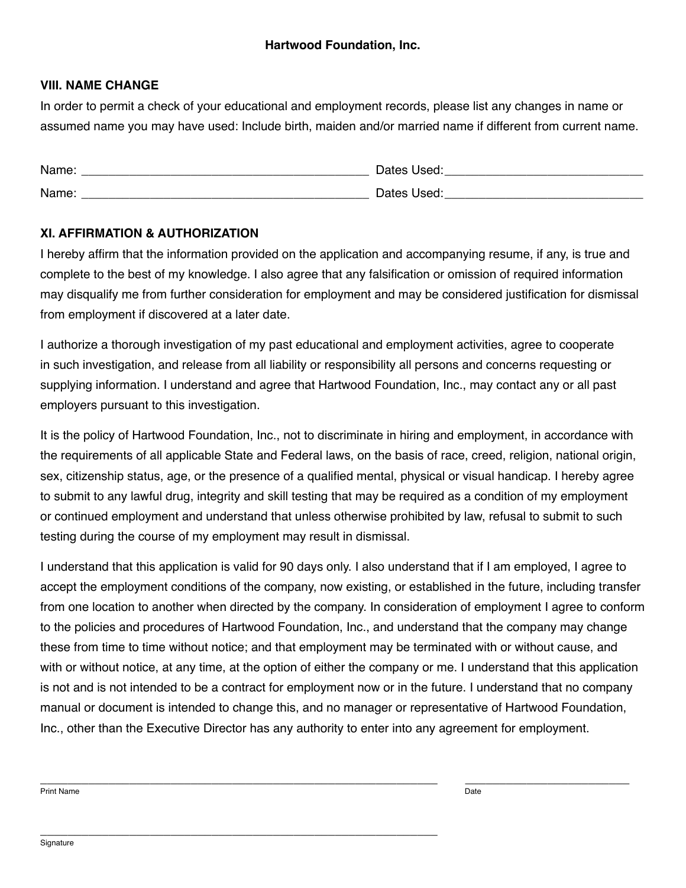### **VIII. NAME CHANGE**

In order to permit a check of your educational and employment records, please list any changes in name or assumed name you may have used: Include birth, maiden and/or married name if different from current name.

| Name: | Dates Used: |
|-------|-------------|
| Name: | Dates Used: |

### **XI. AFFIRMATION & AUTHORIZATION**

I hereby affirm that the information provided on the application and accompanying resume, if any, is true and complete to the best of my knowledge. I also agree that any falsification or omission of required information may disqualify me from further consideration for employment and may be considered justification for dismissal from employment if discovered at a later date.

I authorize a thorough investigation of my past educational and employment activities, agree to cooperate in such investigation, and release from all liability or responsibility all persons and concerns requesting or supplying information. I understand and agree that Hartwood Foundation, Inc., may contact any or all past employers pursuant to this investigation.

It is the policy of Hartwood Foundation, Inc., not to discriminate in hiring and employment, in accordance with the requirements of all applicable State and Federal laws, on the basis of race, creed, religion, national origin, sex, citizenship status, age, or the presence of a qualified mental, physical or visual handicap. I hereby agree to submit to any lawful drug, integrity and skill testing that may be required as a condition of my employment or continued employment and understand that unless otherwise prohibited by law, refusal to submit to such testing during the course of my employment may result in dismissal.

I understand that this application is valid for 90 days only. I also understand that if I am employed, I agree to accept the employment conditions of the company, now existing, or established in the future, including transfer from one location to another when directed by the company. In consideration of employment I agree to conform to the policies and procedures of Hartwood Foundation, Inc., and understand that the company may change these from time to time without notice; and that employment may be terminated with or without cause, and with or without notice, at any time, at the option of either the company or me. I understand that this application is not and is not intended to be a contract for employment now or in the future. I understand that no company manual or document is intended to change this, and no manager or representative of Hartwood Foundation, Inc., other than the Executive Director has any authority to enter into any agreement for employment.

\_\_\_\_\_\_\_\_\_\_\_\_\_\_\_\_\_\_\_\_\_\_\_\_\_\_\_\_\_\_\_\_\_\_\_\_\_\_\_\_\_\_\_\_\_\_\_\_\_\_\_\_\_\_\_\_\_\_ \_\_\_\_\_\_\_\_\_\_\_\_\_\_\_\_\_\_\_\_\_\_\_\_ Print Name Date